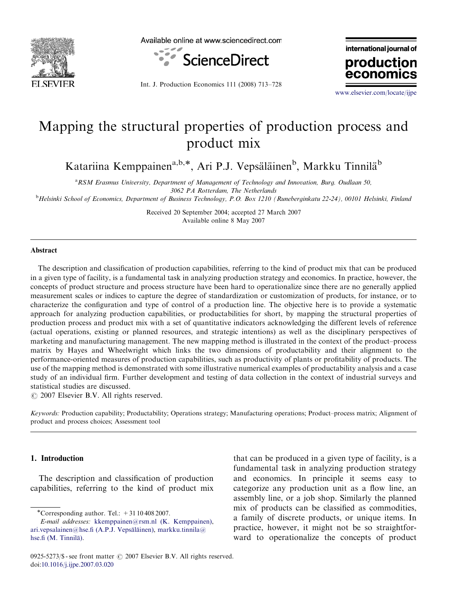

Available online at www.sciencedirect.com



international journal of production

Int. J. Production Economics 111 (2008) 713–728

<www.elsevier.com/locate/ijpe>

econor

## Mapping the structural properties of production process and product mix

Katariina Kemppainen<sup>a,b,\*</sup>, Ari P.J. Vepsäläinen<sup>b</sup>, Markku Tinnilä<sup>b</sup>

<sup>a</sup>RSM Erasmus University, Department of Management of Technology and Innovation, Burg. Oudlaan 50, 3062 PA Rotterdam, The Netherlands

b Helsinki School of Economics, Department of Business Technology, P.O. Box 1210 (Runeberginkatu 22-24), 00101 Helsinki, Finland

Received 20 September 2004; accepted 27 March 2007 Available online 8 May 2007

## Abstract

The description and classification of production capabilities, referring to the kind of product mix that can be produced in a given type of facility, is a fundamental task in analyzing production strategy and economics. In practice, however, the concepts of product structure and process structure have been hard to operationalize since there are no generally applied measurement scales or indices to capture the degree of standardization or customization of products, for instance, or to characterize the configuration and type of control of a production line. The objective here is to provide a systematic approach for analyzing production capabilities, or productabilities for short, by mapping the structural properties of production process and product mix with a set of quantitative indicators acknowledging the different levels of reference (actual operations, existing or planned resources, and strategic intentions) as well as the disciplinary perspectives of marketing and manufacturing management. The new mapping method is illustrated in the context of the product–process matrix by Hayes and Wheelwright which links the two dimensions of productability and their alignment to the performance-oriented measures of production capabilities, such as productivity of plants or profitability of products. The use of the mapping method is demonstrated with some illustrative numerical examples of productability analysis and a case study of an individual firm. Further development and testing of data collection in the context of industrial surveys and statistical studies are discussed.

 $O$  2007 Elsevier B.V. All rights reserved.

Keywords: Production capability; Productability; Operations strategy; Manufacturing operations; Product–process matrix; Alignment of product and process choices; Assessment tool

## 1. Introduction

The description and classification of production capabilities, referring to the kind of product mix

 $\overline{\text{``Corresponding author. Tel.:}}$  + 31 10 408 2007.

E-mail addresses: [kkemppainen@rsm.nl \(K. Kemppainen\),](mailto:kkemppainen@rsm.nl) ari.vepsalainen@hse.fi (A.P.J. Vepsäläinen), [markku.tinnila@](mailto:markku.tinnila@hse.fi) hse.fi (M. Tinnilä).

that can be produced in a given type of facility, is a fundamental task in analyzing production strategy and economics. In principle it seems easy to categorize any production unit as a flow line, an assembly line, or a job shop. Similarly the planned mix of products can be classified as commodities, a family of discrete products, or unique items. In practice, however, it might not be so straightforward to operationalize the concepts of product

<sup>0925-5273/\$ -</sup> see front matter  $\odot$  2007 Elsevier B.V. All rights reserved. doi:[10.1016/j.ijpe.2007.03.020](dx.doi.org/10.1016/j.ijpe.2007.03.020)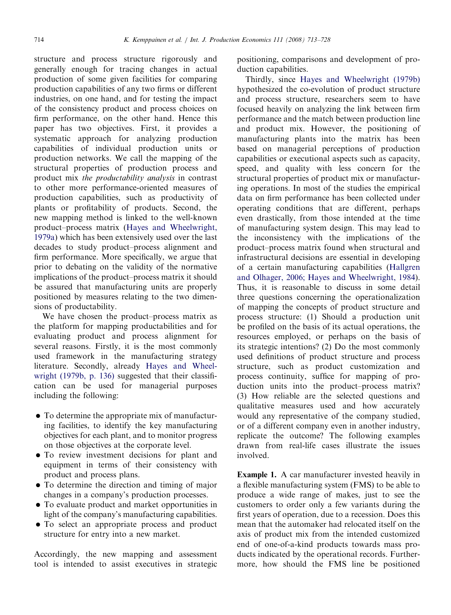structure and process structure rigorously and generally enough for tracing changes in actual production of some given facilities for comparing production capabilities of any two firms or different industries, on one hand, and for testing the impact of the consistency product and process choices on firm performance, on the other hand. Hence this paper has two objectives. First, it provides a systematic approach for analyzing production capabilities of individual production units or production networks. We call the mapping of the structural properties of production process and product mix the productability analysis in contrast to other more performance-oriented measures of production capabilities, such as productivity of plants or profitability of products. Second, the new mapping method is linked to the well-known product–process matrix ([Hayes and Wheelwright,](#page--1-0) [1979a](#page--1-0)) which has been extensively used over the last decades to study product–process alignment and firm performance. More specifically, we argue that prior to debating on the validity of the normative implications of the product–process matrix it should be assured that manufacturing units are properly positioned by measures relating to the two dimensions of productability.

We have chosen the product–process matrix as the platform for mapping productabilities and for evaluating product and process alignment for several reasons. Firstly, it is the most commonly used framework in the manufacturing strategy literature. Secondly, already [Hayes and Wheel](#page--1-0)[wright \(1979b, p. 136\)](#page--1-0) suggested that their classification can be used for managerial purposes including the following:

- $\bullet$  To determine the appropriate mix of manufacturing facilities, to identify the key manufacturing objectives for each plant, and to monitor progress on those objectives at the corporate level.
- To review investment decisions for plant and equipment in terms of their consistency with product and process plans.
- $\bullet$  To determine the direction and timing of major changes in a company's production processes.
- To evaluate product and market opportunities in light of the company's manufacturing capabilities.
- To select an appropriate process and product structure for entry into a new market.

Accordingly, the new mapping and assessment tool is intended to assist executives in strategic positioning, comparisons and development of production capabilities.

Thirdly, since [Hayes and Wheelwright \(1979b\)](#page--1-0) hypothesized the co-evolution of product structure and process structure, researchers seem to have focused heavily on analyzing the link between firm performance and the match between production line and product mix. However, the positioning of manufacturing plants into the matrix has been based on managerial perceptions of production capabilities or executional aspects such as capacity, speed, and quality with less concern for the structural properties of product mix or manufacturing operations. In most of the studies the empirical data on firm performance has been collected under operating conditions that are different, perhaps even drastically, from those intended at the time of manufacturing system design. This may lead to the inconsistency with the implications of the product–process matrix found when structural and infrastructural decisions are essential in developing of a certain manufacturing capabilities [\(Hallgren](#page--1-0) [and Olhager, 2006; Hayes and Wheelwright, 1984](#page--1-0)). Thus, it is reasonable to discuss in some detail three questions concerning the operationalization of mapping the concepts of product structure and process structure: (1) Should a production unit be profiled on the basis of its actual operations, the resources employed, or perhaps on the basis of its strategic intentions? (2) Do the most commonly used definitions of product structure and process structure, such as product customization and process continuity, suffice for mapping of production units into the product–process matrix? (3) How reliable are the selected questions and qualitative measures used and how accurately would any representative of the company studied, or of a different company even in another industry, replicate the outcome? The following examples drawn from real-life cases illustrate the issues involved.

Example 1. A car manufacturer invested heavily in a flexible manufacturing system (FMS) to be able to produce a wide range of makes, just to see the customers to order only a few variants during the first years of operation, due to a recession. Does this mean that the automaker had relocated itself on the axis of product mix from the intended customized end of one-of-a-kind products towards mass products indicated by the operational records. Furthermore, how should the FMS line be positioned